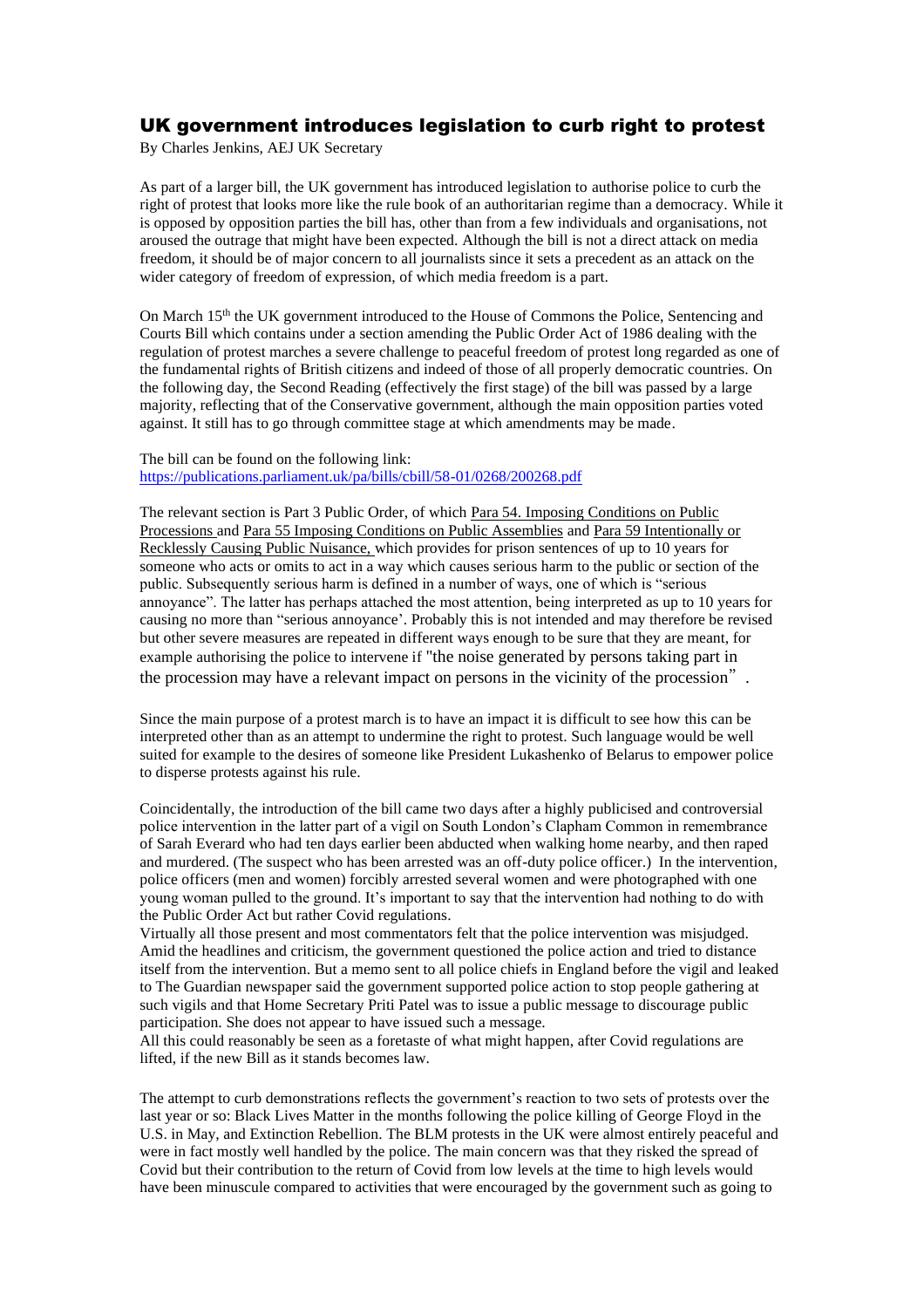## UK government introduces legislation to curb right to protest

By Charles Jenkins, AEJ UK Secretary

As part of a larger bill, the UK government has introduced legislation to authorise police to curb the right of protest that looks more like the rule book of an authoritarian regime than a democracy. While it is opposed by opposition parties the bill has, other than from a few individuals and organisations, not aroused the outrage that might have been expected. Although the bill is not a direct attack on media freedom, it should be of major concern to all journalists since it sets a precedent as an attack on the wider category of freedom of expression, of which media freedom is a part.

On March 15<sup>th</sup> the UK government introduced to the House of Commons the Police, Sentencing and Courts Bill which contains under a section amending the Public Order Act of 1986 dealing with the regulation of protest marches a severe challenge to peaceful freedom of protest long regarded as one of the fundamental rights of British citizens and indeed of those of all properly democratic countries. On the following day, the Second Reading (effectively the first stage) of the bill was passed by a large majority, reflecting that of the Conservative government, although the main opposition parties voted against. It still has to go through committee stage at which amendments may be made.

The bill can be found on the following link: <https://publications.parliament.uk/pa/bills/cbill/58-01/0268/200268.pdf>

The relevant section is Part 3 Public Order, of which Para 54. Imposing Conditions on Public Processions and Para 55 Imposing Conditions on Public Assemblies and Para 59 Intentionally or Recklessly Causing Public Nuisance, which provides for prison sentences of up to 10 years for someone who acts or omits to act in a way which causes serious harm to the public or section of the public. Subsequently serious harm is defined in a number of ways, one of which is "serious annoyance". The latter has perhaps attached the most attention, being interpreted as up to 10 years for causing no more than "serious annoyance'. Probably this is not intended and may therefore be revised but other severe measures are repeated in different ways enough to be sure that they are meant, for example authorising the police to intervene if "the noise generated by persons taking part in the procession may have a relevant impact on persons in the vicinity of the procession".

Since the main purpose of a protest march is to have an impact it is difficult to see how this can be interpreted other than as an attempt to undermine the right to protest. Such language would be well suited for example to the desires of someone like President Lukashenko of Belarus to empower police to disperse protests against his rule.

Coincidentally, the introduction of the bill came two days after a highly publicised and controversial police intervention in the latter part of a vigil on South London's Clapham Common in remembrance of Sarah Everard who had ten days earlier been abducted when walking home nearby, and then raped and murdered. (The suspect who has been arrested was an off-duty police officer.) In the intervention, police officers (men and women) forcibly arrested several women and were photographed with one young woman pulled to the ground. It's important to say that the intervention had nothing to do with the Public Order Act but rather Covid regulations.

Virtually all those present and most commentators felt that the police intervention was misjudged. Amid the headlines and criticism, the government questioned the police action and tried to distance itself from the intervention. But a memo sent to all police chiefs in England before the vigil and leaked to The Guardian newspaper said the government supported police action to stop people gathering at such vigils and that Home Secretary Priti Patel was to issue a public message to discourage public participation. She does not appear to have issued such a message.

All this could reasonably be seen as a foretaste of what might happen, after Covid regulations are lifted, if the new Bill as it stands becomes law.

The attempt to curb demonstrations reflects the government's reaction to two sets of protests over the last year or so: Black Lives Matter in the months following the police killing of George Floyd in the U.S. in May, and Extinction Rebellion. The BLM protests in the UK were almost entirely peaceful and were in fact mostly well handled by the police. The main concern was that they risked the spread of Covid but their contribution to the return of Covid from low levels at the time to high levels would have been minuscule compared to activities that were encouraged by the government such as going to